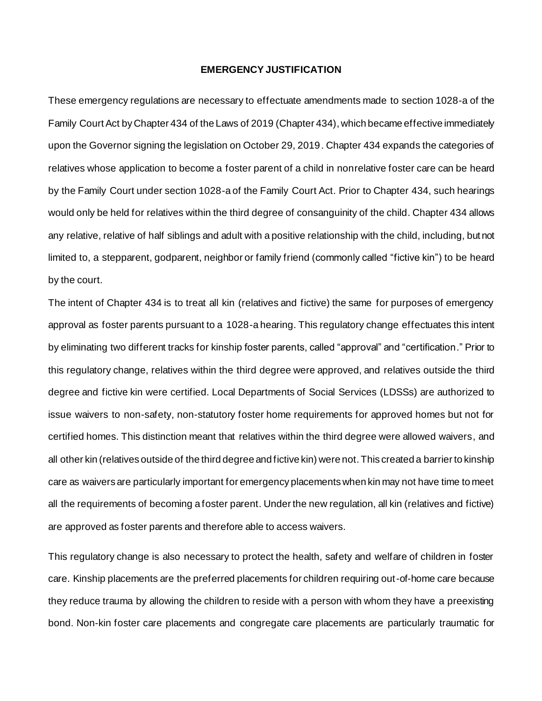## **EMERGENCY JUSTIFICATION**

These emergency regulations are necessary to effectuate amendments made to section 1028-a of the Family Court Act by Chapter 434 of the Laws of 2019 (Chapter 434), which became effective immediately upon the Governor signing the legislation on October 29, 2019. Chapter 434 expands the categories of relatives whose application to become a foster parent of a child in nonrelative foster care can be heard by the Family Court under section 1028-a of the Family Court Act. Prior to Chapter 434, such hearings would only be held for relatives within the third degree of consanguinity of the child. Chapter 434 allows any relative, relative of half siblings and adult with a positive relationship with the child, including, but not limited to, a stepparent, godparent, neighbor or family friend (commonly called "fictive kin") to be heard by the court.

The intent of Chapter 434 is to treat all kin (relatives and fictive) the same for purposes of emergency approval as foster parents pursuant to a 1028-a hearing. This regulatory change effectuates this intent by eliminating two different tracks for kinship foster parents, called "approval" and "certification." Prior to this regulatory change, relatives within the third degree were approved, and relatives outside the third degree and fictive kin were certified. Local Departments of Social Services (LDSSs) are authorized to issue waivers to non-safety, non-statutory foster home requirements for approved homes but not for certified homes. This distinction meant that relatives within the third degree were allowed waivers, and all other kin (relatives outside of the third degree and fictive kin) were not.This created a barrier to kinship care as waivers are particularly important for emergency placements when kin may not have time to meet all the requirements of becoming a foster parent. Under the new regulation, all kin (relatives and fictive) are approved as foster parents and therefore able to access waivers.

This regulatory change is also necessary to protect the health, safety and welfare of children in foster care. Kinship placements are the preferred placements for children requiring out-of-home care because they reduce trauma by allowing the children to reside with a person with whom they have a preexisting bond. Non-kin foster care placements and congregate care placements are particularly traumatic for